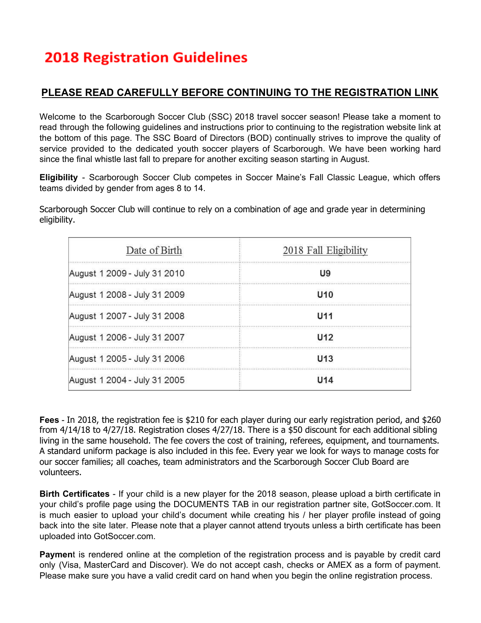## **PLEASE READ CAREFULLY BEFORE CONTINUING TO THE REGISTRATION LINK**

Welcome to the Scarborough Soccer Club (SSC) 2018 travel soccer season! Please take a moment to read through the following guidelines and instructions prior to continuing to the registration website link at the bottom of this page. The SSC Board of Directors (BOD) continually strives to improve the quality of service provided to the dedicated youth soccer players of Scarborough. We have been working hard since the final whistle last fall to prepare for another exciting season starting in August.

**Eligibility** - Scarborough Soccer Club competes in Soccer Maine's Fall Classic League, which offers teams divided by gender from ages 8 to 14.

Scarborough Soccer Club will continue to rely on a combination of age and grade year in determining eligibility.

| Date of Birth                | 2018 Fall Eligibility |  |
|------------------------------|-----------------------|--|
| August 1 2009 - July 31 2010 | U9                    |  |
| August 1 2008 - July 31 2009 | U10                   |  |
| August 1 2007 - July 31 2008 | U <sub>11</sub>       |  |
| August 1 2006 - July 31 2007 | U12                   |  |
| August 1 2005 - July 31 2006 | U <sub>13</sub>       |  |
| August 1 2004 - July 31 2005 | II1A                  |  |

**Fees** - In 2018, the registration fee is \$210 for each player during our early registration period, and \$260 from 4/14/18 to 4/27/18. Registration closes 4/27/18. There is a \$50 discount for each additional sibling living in the same household. The fee covers the cost of training, referees, equipment, and tournaments. A standard uniform package is also included in this fee. Every year we look for ways to manage costs for our soccer families; all coaches, team administrators and the Scarborough Soccer Club Board are volunteers.

**Birth Certificates** - If your child is a new player for the 2018 season, please upload a birth certificate in your child's profile page using the DOCUMENTS TAB in our registration partner site, GotSoccer.com. It is much easier to upload your child's document while creating his / her player profile instead of going back into the site later. Please note that a player cannot attend tryouts unless a birth certificate has been uploaded into GotSoccer.com.

**Paymen**t is rendered online at the completion of the registration process and is payable by credit card only (Visa, MasterCard and Discover). We do not accept cash, checks or AMEX as a form of payment. Please make sure you have a valid credit card on hand when you begin the online registration process.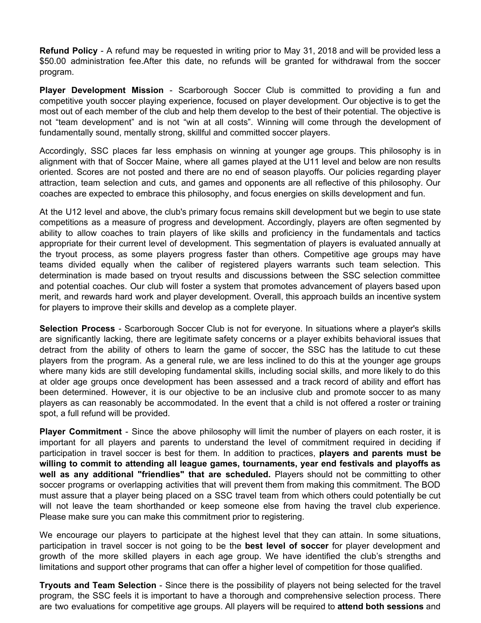**Refund Policy** - A refund may be requested in writing prior to May 31, 2018 and will be provided less a \$50.00 administration fee.After this date, no refunds will be granted for withdrawal from the soccer program.

**Player Development Mission** - Scarborough Soccer Club is committed to providing a fun and competitive youth soccer playing experience, focused on player development. Our objective is to get the most out of each member of the club and help them develop to the best of their potential. The objective is not "team development" and is not "win at all costs". Winning will come through the development of fundamentally sound, mentally strong, skillful and committed soccer players.

Accordingly, SSC places far less emphasis on winning at younger age groups. This philosophy is in alignment with that of Soccer Maine, where all games played at the U11 level and below are non results oriented. Scores are not posted and there are no end of season playoffs. Our policies regarding player attraction, team selection and cuts, and games and opponents are all reflective of this philosophy. Our coaches are expected to embrace this philosophy, and focus energies on skills development and fun.

At the U12 level and above, the club's primary focus remains skill development but we begin to use state competitions as a measure of progress and development. Accordingly, players are often segmented by ability to allow coaches to train players of like skills and proficiency in the fundamentals and tactics appropriate for their current level of development. This segmentation of players is evaluated annually at the tryout process, as some players progress faster than others. Competitive age groups may have teams divided equally when the caliber of registered players warrants such team selection. This determination is made based on tryout results and discussions between the SSC selection committee and potential coaches. Our club will foster a system that promotes advancement of players based upon merit, and rewards hard work and player development. Overall, this approach builds an incentive system for players to improve their skills and develop as a complete player.

**Selection Process** - Scarborough Soccer Club is not for everyone. In situations where a player's skills are significantly lacking, there are legitimate safety concerns or a player exhibits behavioral issues that detract from the ability of others to learn the game of soccer, the SSC has the latitude to cut these players from the program. As a general rule, we are less inclined to do this at the younger age groups where many kids are still developing fundamental skills, including social skills, and more likely to do this at older age groups once development has been assessed and a track record of ability and effort has been determined. However, it is our objective to be an inclusive club and promote soccer to as many players as can reasonably be accommodated. In the event that a child is not offered a roster or training spot, a full refund will be provided.

**Player Commitment** - Since the above philosophy will limit the number of players on each roster, it is important for all players and parents to understand the level of commitment required in deciding if participation in travel soccer is best for them. In addition to practices, **players and parents must be willing to commit to attending all league games, tournaments, year end festivals and playoffs as well as any additional "friendlies" that are scheduled.** Players should not be committing to other soccer programs or overlapping activities that will prevent them from making this commitment. The BOD must assure that a player being placed on a SSC travel team from which others could potentially be cut will not leave the team shorthanded or keep someone else from having the travel club experience. Please make sure you can make this commitment prior to registering.

We encourage our players to participate at the highest level that they can attain. In some situations, participation in travel soccer is not going to be the **best level of soccer** for player development and growth of the more skilled players in each age group. We have identified the club's strengths and limitations and support other programs that can offer a higher level of competition for those qualified.

**Tryouts and Team Selection** - Since there is the possibility of players not being selected for the travel program, the SSC feels it is important to have a thorough and comprehensive selection process. There are two evaluations for competitive age groups. All players will be required to **attend both sessions** and